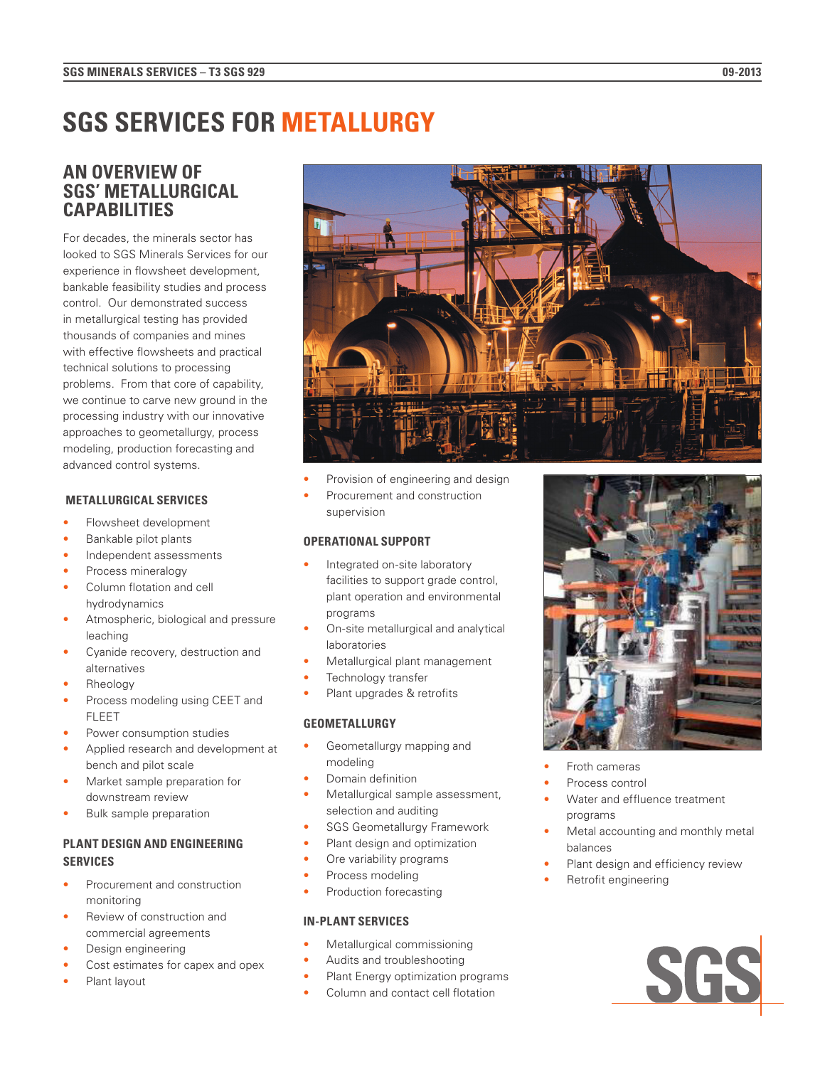# **SGS SERVICES FOR METALLURGY**

## **AN OVERVIEW OF SGS' METALLURGICAL CAPABILITIES**

For decades, the minerals sector has looked to SGS Minerals Services for our experience in flowsheet development, bankable feasibility studies and process control. Our demonstrated success in metallurgical testing has provided thousands of companies and mines with effective flowsheets and practical technical solutions to processing problems. From that core of capability, we continue to carve new ground in the processing industry with our innovative approaches to geometallurgy, process modeling, production forecasting and advanced control systems.

## **METALLURGICAL SERVICES**

- Flowsheet development
- Bankable pilot plants
- Independent assessments
- Process mineralogy
- Column flotation and cell hydrodynamics
- Atmospheric, biological and pressure leaching
- Cyanide recovery, destruction and alternatives
- Rheology
- Process modeling using CEET and FLEET
- Power consumption studies
- Applied research and development at bench and pilot scale
- Market sample preparation for downstream review
- Bulk sample preparation

## **PLANT DESIGN AND ENGINEERING SERVICES**

- Procurement and construction monitoring
- Review of construction and commercial agreements
- Design engineering
- Cost estimates for capex and opex
- Plant layout



- Provision of engineering and design
- Procurement and construction supervision

## **OPERATIONAL SUPPORT**

- Integrated on-site laboratory facilities to support grade control, plant operation and environmental programs
- On-site metallurgical and analytical laboratories
- Metallurgical plant management
- Technology transfer
- Plant upgrades & retrofits

#### **GEOMETALLURGY**

- Geometallurgy mapping and modeling
- Domain definition
- Metallurgical sample assessment, selection and auditing
- SGS Geometallurgy Framework
- Plant design and optimization
- Ore variability programs
- Process modeling
- Production forecasting

## **IN-PLANT SERVICES**

- Metallurgical commissioning
- Audits and troubleshooting
- Plant Energy optimization programs
- Column and contact cell flotation



- Froth cameras
- Process control
- Water and effluence treatment programs
- Metal accounting and monthly metal balances
- Plant design and efficiency review
- Retrofit engineering